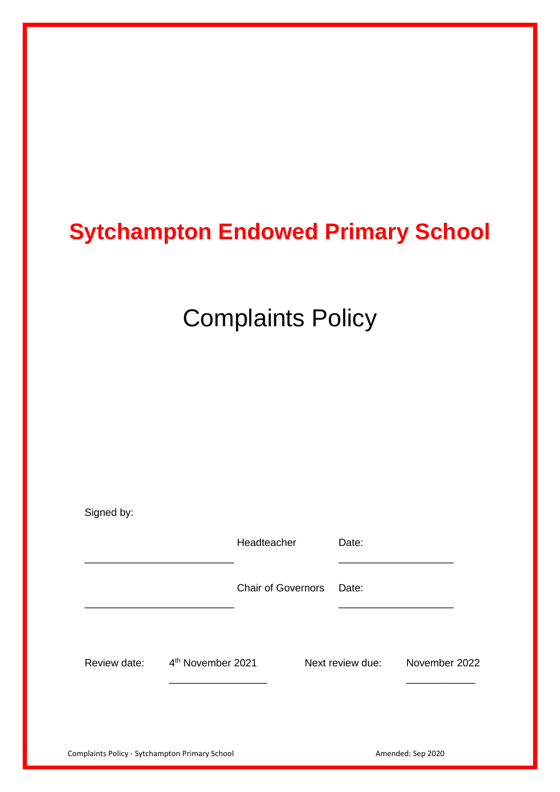## **Sytchampton Endowed Primary School**

# Complaints Policy

| Signed by:   |                               |                           |                  |               |
|--------------|-------------------------------|---------------------------|------------------|---------------|
|              |                               | Headteacher               | Date:            |               |
|              |                               | <b>Chair of Governors</b> | Date:            |               |
| Review date: | 4 <sup>th</sup> November 2021 |                           | Next review due: | November 2022 |
|              |                               |                           |                  |               |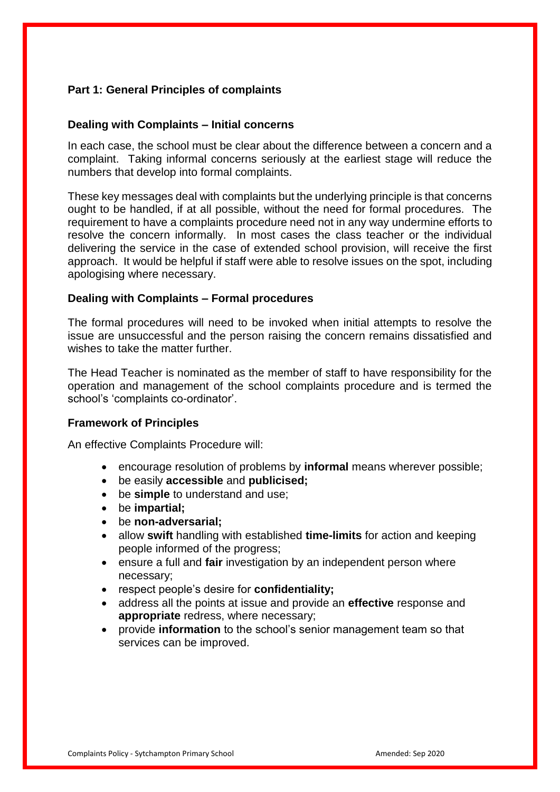### **Part 1: General Principles of complaints**

#### **Dealing with Complaints – Initial concerns**

In each case, the school must be clear about the difference between a concern and a complaint. Taking informal concerns seriously at the earliest stage will reduce the numbers that develop into formal complaints.

These key messages deal with complaints but the underlying principle is that concerns ought to be handled, if at all possible, without the need for formal procedures. The requirement to have a complaints procedure need not in any way undermine efforts to resolve the concern informally. In most cases the class teacher or the individual delivering the service in the case of extended school provision, will receive the first approach. It would be helpful if staff were able to resolve issues on the spot, including apologising where necessary.

#### **Dealing with Complaints – Formal procedures**

The formal procedures will need to be invoked when initial attempts to resolve the issue are unsuccessful and the person raising the concern remains dissatisfied and wishes to take the matter further.

The Head Teacher is nominated as the member of staff to have responsibility for the operation and management of the school complaints procedure and is termed the school's 'complaints co-ordinator'.

#### **Framework of Principles**

An effective Complaints Procedure will:

- encourage resolution of problems by **informal** means wherever possible;
- be easily **accessible** and **publicised;**
- be **simple** to understand and use;
- be **impartial;**
- be **non-adversarial;**
- allow **swift** handling with established **time-limits** for action and keeping people informed of the progress;
- ensure a full and **fair** investigation by an independent person where necessary;
- respect people's desire for **confidentiality;**
- address all the points at issue and provide an **effective** response and **appropriate** redress, where necessary;
- provide **information** to the school's senior management team so that services can be improved.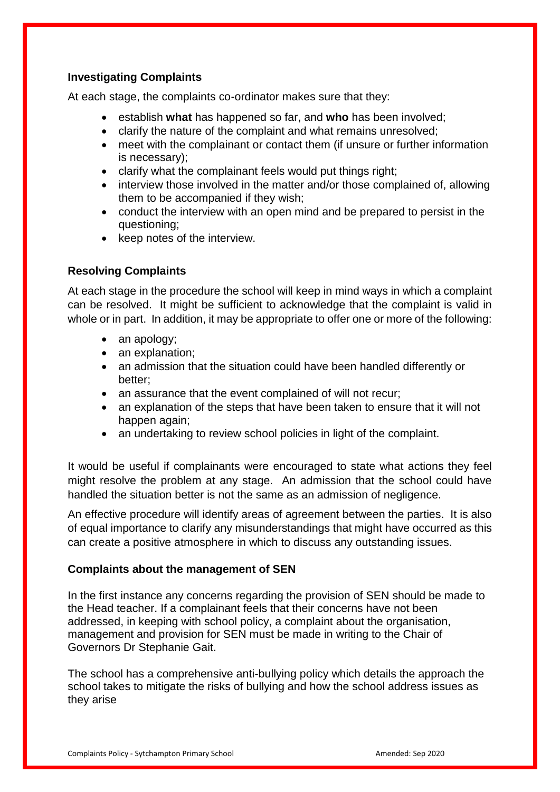## **Investigating Complaints**

At each stage, the complaints co-ordinator makes sure that they:

- establish **what** has happened so far, and **who** has been involved;
- clarify the nature of the complaint and what remains unresolved;
- meet with the complainant or contact them (if unsure or further information is necessary);
- clarify what the complainant feels would put things right;
- interview those involved in the matter and/or those complained of, allowing them to be accompanied if they wish;
- conduct the interview with an open mind and be prepared to persist in the questioning;
- keep notes of the interview.

## **Resolving Complaints**

At each stage in the procedure the school will keep in mind ways in which a complaint can be resolved. It might be sufficient to acknowledge that the complaint is valid in whole or in part. In addition, it may be appropriate to offer one or more of the following:

- an apology;
- an explanation;
- an admission that the situation could have been handled differently or better;
- an assurance that the event complained of will not recur:
- an explanation of the steps that have been taken to ensure that it will not happen again;
- an undertaking to review school policies in light of the complaint.

It would be useful if complainants were encouraged to state what actions they feel might resolve the problem at any stage. An admission that the school could have handled the situation better is not the same as an admission of negligence.

An effective procedure will identify areas of agreement between the parties. It is also of equal importance to clarify any misunderstandings that might have occurred as this can create a positive atmosphere in which to discuss any outstanding issues.

#### **Complaints about the management of SEN**

In the first instance any concerns regarding the provision of SEN should be made to the Head teacher. If a complainant feels that their concerns have not been addressed, in keeping with school policy, a complaint about the organisation, management and provision for SEN must be made in writing to the Chair of Governors Dr Stephanie Gait.

The school has a comprehensive anti-bullying policy which details the approach the school takes to mitigate the risks of bullying and how the school address issues as they arise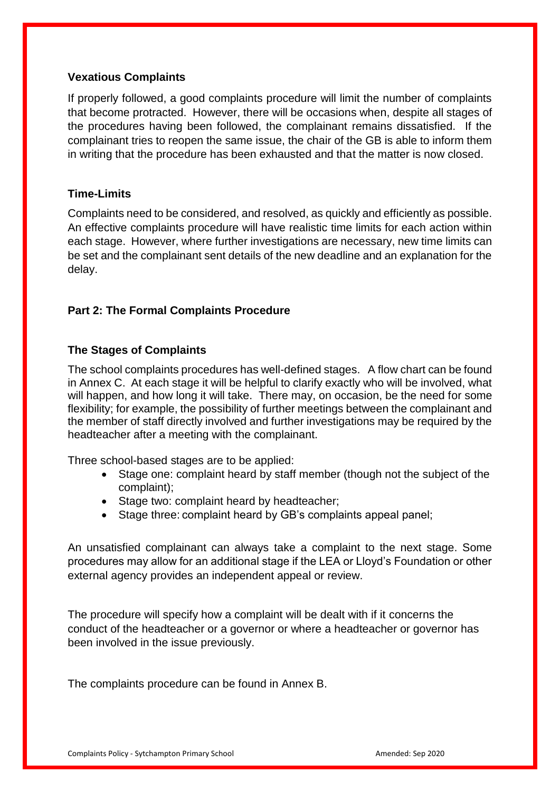#### **Vexatious Complaints**

If properly followed, a good complaints procedure will limit the number of complaints that become protracted. However, there will be occasions when, despite all stages of the procedures having been followed, the complainant remains dissatisfied. If the complainant tries to reopen the same issue, the chair of the GB is able to inform them in writing that the procedure has been exhausted and that the matter is now closed.

#### **Time-Limits**

Complaints need to be considered, and resolved, as quickly and efficiently as possible. An effective complaints procedure will have realistic time limits for each action within each stage. However, where further investigations are necessary, new time limits can be set and the complainant sent details of the new deadline and an explanation for the delay.

#### **Part 2: The Formal Complaints Procedure**

#### **The Stages of Complaints**

The school complaints procedures has well-defined stages. A flow chart can be found in Annex C. At each stage it will be helpful to clarify exactly who will be involved, what will happen, and how long it will take. There may, on occasion, be the need for some flexibility; for example, the possibility of further meetings between the complainant and the member of staff directly involved and further investigations may be required by the headteacher after a meeting with the complainant.

Three school-based stages are to be applied:

- Stage one: complaint heard by staff member (though not the subject of the complaint);
- Stage two: complaint heard by headteacher;
- Stage three: complaint heard by GB's complaints appeal panel:

An unsatisfied complainant can always take a complaint to the next stage. Some procedures may allow for an additional stage if the LEA or Lloyd's Foundation or other external agency provides an independent appeal or review.

The procedure will specify how a complaint will be dealt with if it concerns the conduct of the headteacher or a governor or where a headteacher or governor has been involved in the issue previously.

The complaints procedure can be found in Annex B.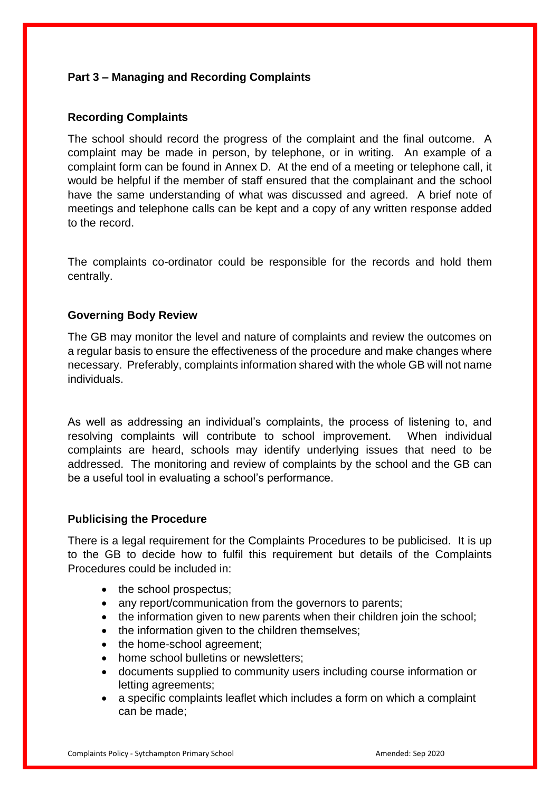## **Part 3 – Managing and Recording Complaints**

### **Recording Complaints**

The school should record the progress of the complaint and the final outcome. A complaint may be made in person, by telephone, or in writing. An example of a complaint form can be found in Annex D. At the end of a meeting or telephone call, it would be helpful if the member of staff ensured that the complainant and the school have the same understanding of what was discussed and agreed. A brief note of meetings and telephone calls can be kept and a copy of any written response added to the record.

The complaints co-ordinator could be responsible for the records and hold them centrally.

## **Governing Body Review**

The GB may monitor the level and nature of complaints and review the outcomes on a regular basis to ensure the effectiveness of the procedure and make changes where necessary. Preferably, complaints information shared with the whole GB will not name individuals.

As well as addressing an individual's complaints, the process of listening to, and resolving complaints will contribute to school improvement. When individual complaints are heard, schools may identify underlying issues that need to be addressed. The monitoring and review of complaints by the school and the GB can be a useful tool in evaluating a school's performance.

#### **Publicising the Procedure**

There is a legal requirement for the Complaints Procedures to be publicised. It is up to the GB to decide how to fulfil this requirement but details of the Complaints Procedures could be included in:

- the school prospectus;
- any report/communication from the governors to parents:
- the information given to new parents when their children join the school;
- the information given to the children themselves;
- the home-school agreement:
- home school bulletins or newsletters:
- documents supplied to community users including course information or letting agreements;
- a specific complaints leaflet which includes a form on which a complaint can be made;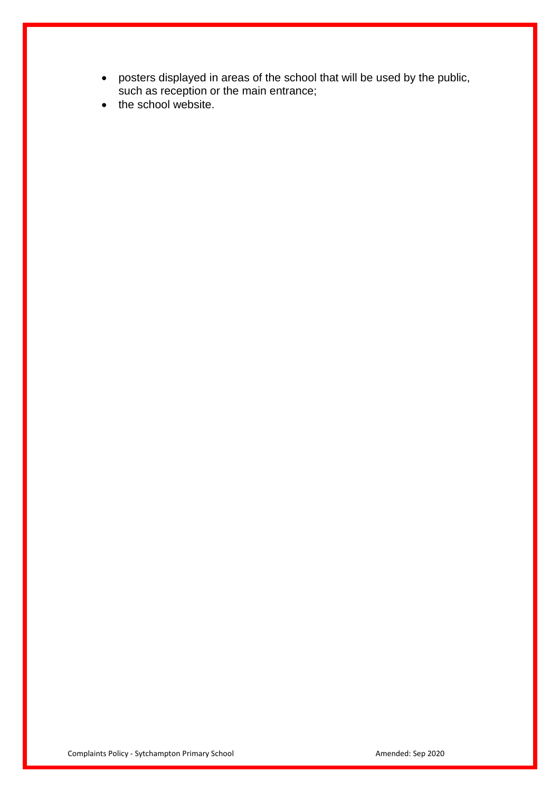- posters displayed in areas of the school that will be used by the public, such as reception or the main entrance;
- the school website.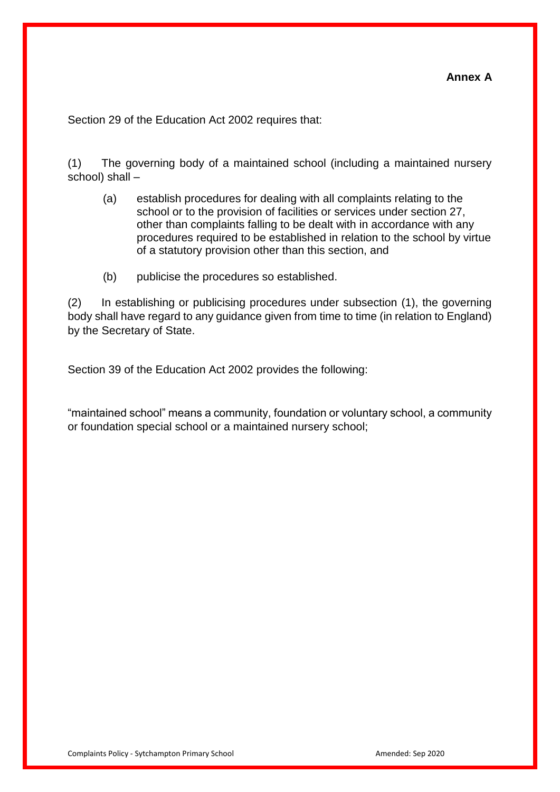Section 29 of the Education Act 2002 requires that:

(1) The governing body of a maintained school (including a maintained nursery school) shall –

- (a) establish procedures for dealing with all complaints relating to the school or to the provision of facilities or services under section 27, other than complaints falling to be dealt with in accordance with any procedures required to be established in relation to the school by virtue of a statutory provision other than this section, and
- (b) publicise the procedures so established.

(2) In establishing or publicising procedures under subsection (1), the governing body shall have regard to any guidance given from time to time (in relation to England) by the Secretary of State.

Section 39 of the Education Act 2002 provides the following:

"maintained school" means a community, foundation or voluntary school, a community or foundation special school or a maintained nursery school;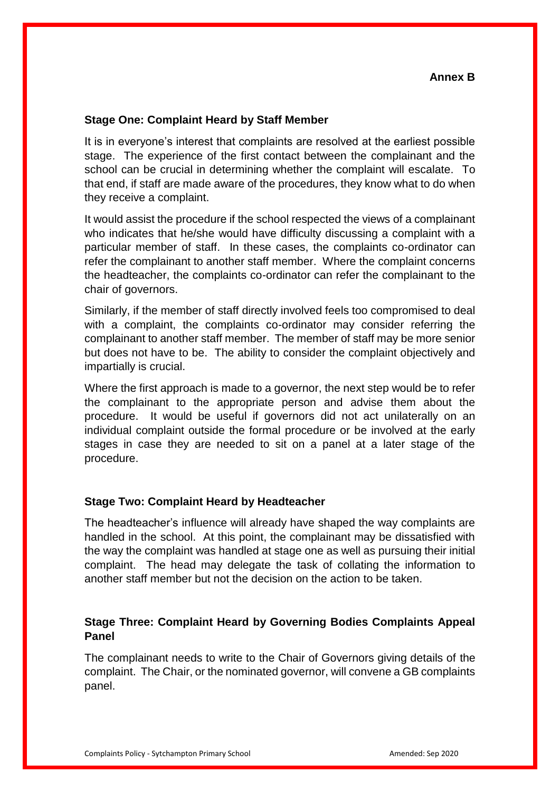#### **Stage One: Complaint Heard by Staff Member**

It is in everyone's interest that complaints are resolved at the earliest possible stage. The experience of the first contact between the complainant and the school can be crucial in determining whether the complaint will escalate. To that end, if staff are made aware of the procedures, they know what to do when they receive a complaint.

It would assist the procedure if the school respected the views of a complainant who indicates that he/she would have difficulty discussing a complaint with a particular member of staff. In these cases, the complaints co-ordinator can refer the complainant to another staff member. Where the complaint concerns the headteacher, the complaints co-ordinator can refer the complainant to the chair of governors.

Similarly, if the member of staff directly involved feels too compromised to deal with a complaint, the complaints co-ordinator may consider referring the complainant to another staff member. The member of staff may be more senior but does not have to be. The ability to consider the complaint objectively and impartially is crucial.

Where the first approach is made to a governor, the next step would be to refer the complainant to the appropriate person and advise them about the procedure. It would be useful if governors did not act unilaterally on an individual complaint outside the formal procedure or be involved at the early stages in case they are needed to sit on a panel at a later stage of the procedure.

#### **Stage Two: Complaint Heard by Headteacher**

The headteacher's influence will already have shaped the way complaints are handled in the school. At this point, the complainant may be dissatisfied with the way the complaint was handled at stage one as well as pursuing their initial complaint. The head may delegate the task of collating the information to another staff member but not the decision on the action to be taken.

## **Stage Three: Complaint Heard by Governing Bodies Complaints Appeal Panel**

The complainant needs to write to the Chair of Governors giving details of the complaint. The Chair, or the nominated governor, will convene a GB complaints panel.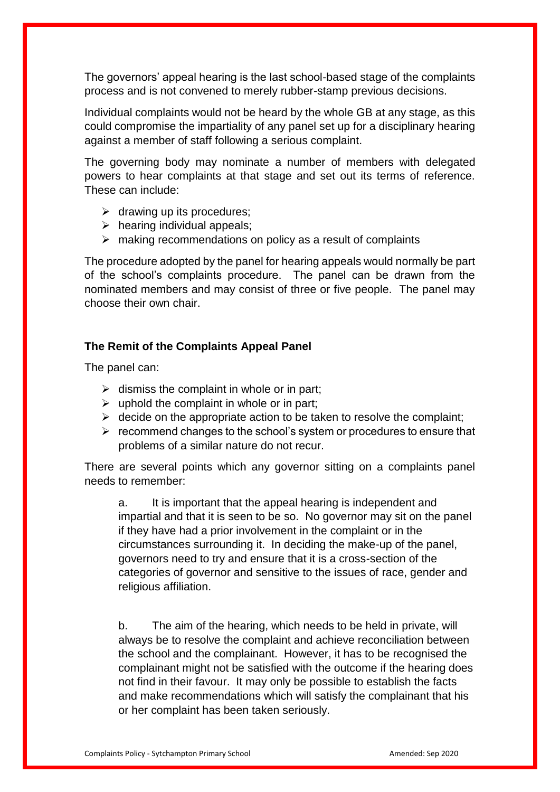The governors' appeal hearing is the last school-based stage of the complaints process and is not convened to merely rubber-stamp previous decisions.

Individual complaints would not be heard by the whole GB at any stage, as this could compromise the impartiality of any panel set up for a disciplinary hearing against a member of staff following a serious complaint.

The governing body may nominate a number of members with delegated powers to hear complaints at that stage and set out its terms of reference. These can include:

- $\triangleright$  drawing up its procedures;
- $\triangleright$  hearing individual appeals;
- $\triangleright$  making recommendations on policy as a result of complaints

The procedure adopted by the panel for hearing appeals would normally be part of the school's complaints procedure. The panel can be drawn from the nominated members and may consist of three or five people. The panel may choose their own chair.

#### **The Remit of the Complaints Appeal Panel**

The panel can:

- $\triangleright$  dismiss the complaint in whole or in part;
- $\triangleright$  uphold the complaint in whole or in part;
- $\triangleright$  decide on the appropriate action to be taken to resolve the complaint:
- $\triangleright$  recommend changes to the school's system or procedures to ensure that problems of a similar nature do not recur.

There are several points which any governor sitting on a complaints panel needs to remember:

a. It is important that the appeal hearing is independent and impartial and that it is seen to be so. No governor may sit on the panel if they have had a prior involvement in the complaint or in the circumstances surrounding it. In deciding the make-up of the panel, governors need to try and ensure that it is a cross-section of the categories of governor and sensitive to the issues of race, gender and religious affiliation.

b. The aim of the hearing, which needs to be held in private, will always be to resolve the complaint and achieve reconciliation between the school and the complainant. However, it has to be recognised the complainant might not be satisfied with the outcome if the hearing does not find in their favour. It may only be possible to establish the facts and make recommendations which will satisfy the complainant that his or her complaint has been taken seriously.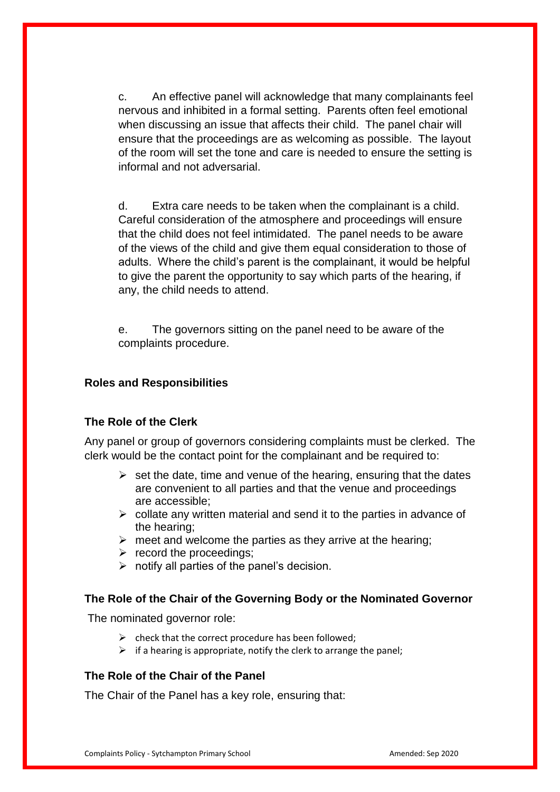c. An effective panel will acknowledge that many complainants feel nervous and inhibited in a formal setting. Parents often feel emotional when discussing an issue that affects their child. The panel chair will ensure that the proceedings are as welcoming as possible. The layout of the room will set the tone and care is needed to ensure the setting is informal and not adversarial.

d. Extra care needs to be taken when the complainant is a child. Careful consideration of the atmosphere and proceedings will ensure that the child does not feel intimidated. The panel needs to be aware of the views of the child and give them equal consideration to those of adults. Where the child's parent is the complainant, it would be helpful to give the parent the opportunity to say which parts of the hearing, if any, the child needs to attend.

e. The governors sitting on the panel need to be aware of the complaints procedure.

#### **Roles and Responsibilities**

#### **The Role of the Clerk**

Any panel or group of governors considering complaints must be clerked. The clerk would be the contact point for the complainant and be required to:

- $\triangleright$  set the date, time and venue of the hearing, ensuring that the dates are convenient to all parties and that the venue and proceedings are accessible;
- $\triangleright$  collate any written material and send it to the parties in advance of the hearing;
- $\triangleright$  meet and welcome the parties as they arrive at the hearing;
- $\triangleright$  record the proceedings;
- $\triangleright$  notify all parties of the panel's decision.

#### **The Role of the Chair of the Governing Body or the Nominated Governor**

The nominated governor role:

- $\triangleright$  check that the correct procedure has been followed:
- $\triangleright$  if a hearing is appropriate, notify the clerk to arrange the panel;

#### **The Role of the Chair of the Panel**

The Chair of the Panel has a key role, ensuring that: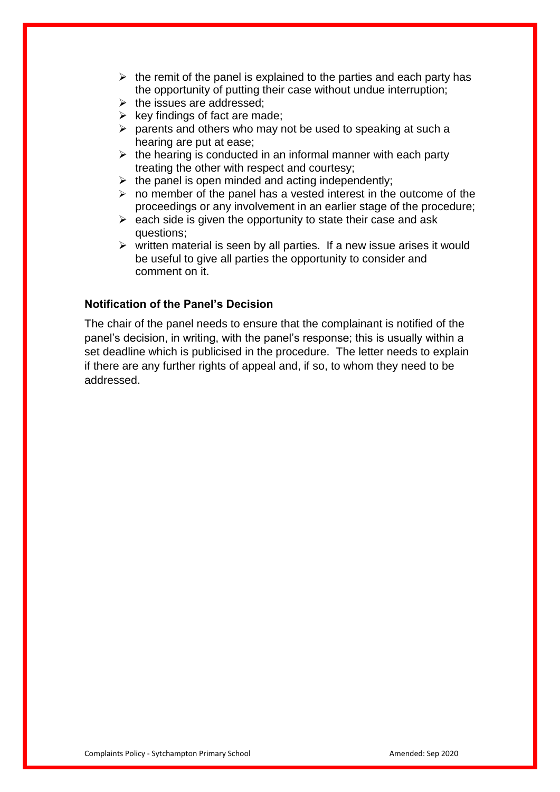- $\triangleright$  the remit of the panel is explained to the parties and each party has the opportunity of putting their case without undue interruption;
- $\triangleright$  the issues are addressed:
- $\triangleright$  key findings of fact are made;
- $\triangleright$  parents and others who may not be used to speaking at such a hearing are put at ease;
- $\triangleright$  the hearing is conducted in an informal manner with each party treating the other with respect and courtesy;
- $\triangleright$  the panel is open minded and acting independently;
- $\triangleright$  no member of the panel has a vested interest in the outcome of the proceedings or any involvement in an earlier stage of the procedure;
- $\triangleright$  each side is given the opportunity to state their case and ask questions;
- $\triangleright$  written material is seen by all parties. If a new issue arises it would be useful to give all parties the opportunity to consider and comment on it.

#### **Notification of the Panel's Decision**

The chair of the panel needs to ensure that the complainant is notified of the panel's decision, in writing, with the panel's response; this is usually within a set deadline which is publicised in the procedure. The letter needs to explain if there are any further rights of appeal and, if so, to whom they need to be addressed.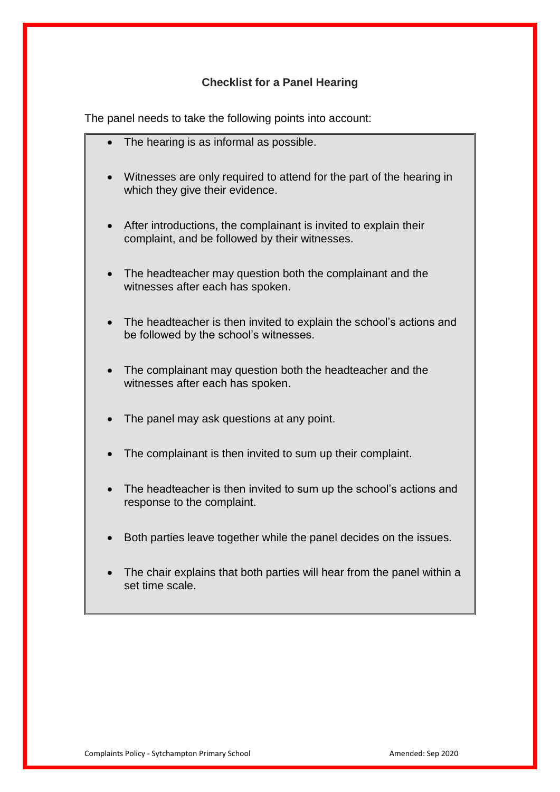## **Checklist for a Panel Hearing**

The panel needs to take the following points into account:

- The hearing is as informal as possible.
- Witnesses are only required to attend for the part of the hearing in which they give their evidence.
- After introductions, the complainant is invited to explain their complaint, and be followed by their witnesses.
- The headteacher may question both the complainant and the witnesses after each has spoken.
- The headteacher is then invited to explain the school's actions and be followed by the school's witnesses.
- The complainant may question both the headteacher and the witnesses after each has spoken.
- The panel may ask questions at any point.
- The complainant is then invited to sum up their complaint.
- The headteacher is then invited to sum up the school's actions and response to the complaint.
- Both parties leave together while the panel decides on the issues.
- The chair explains that both parties will hear from the panel within a set time scale.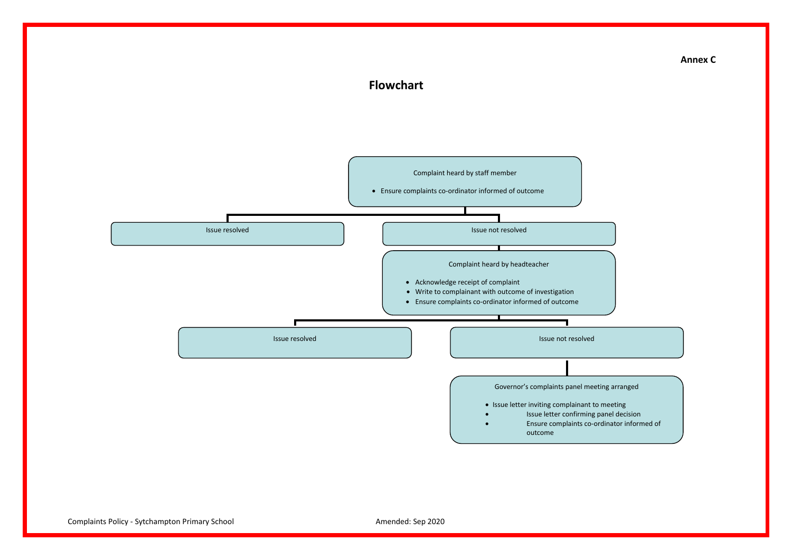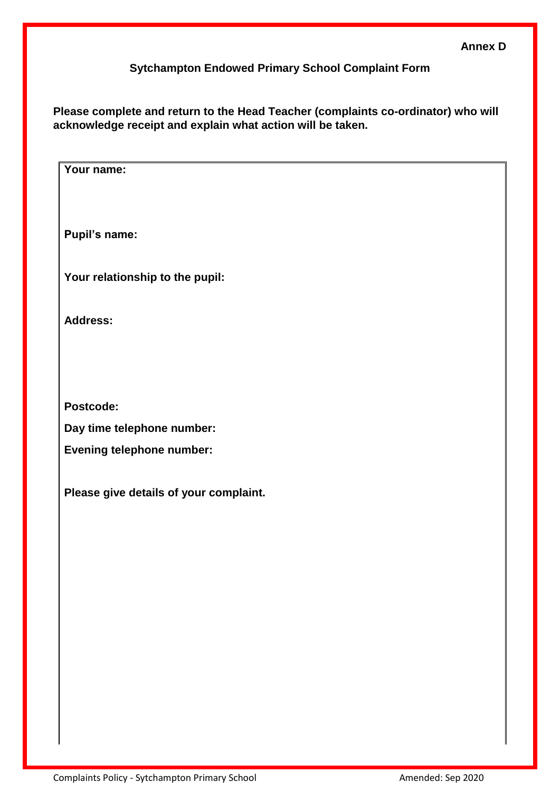## **Sytchampton Endowed Primary School Complaint Form**

**Please complete and return to the Head Teacher (complaints co-ordinator) who will acknowledge receipt and explain what action will be taken.**

| Your name:                             |
|----------------------------------------|
| Pupil's name:                          |
| Your relationship to the pupil:        |
| <b>Address:</b>                        |
|                                        |
| Postcode:                              |
| Day time telephone number:             |
| <b>Evening telephone number:</b>       |
| Please give details of your complaint. |
|                                        |
|                                        |
|                                        |
|                                        |
|                                        |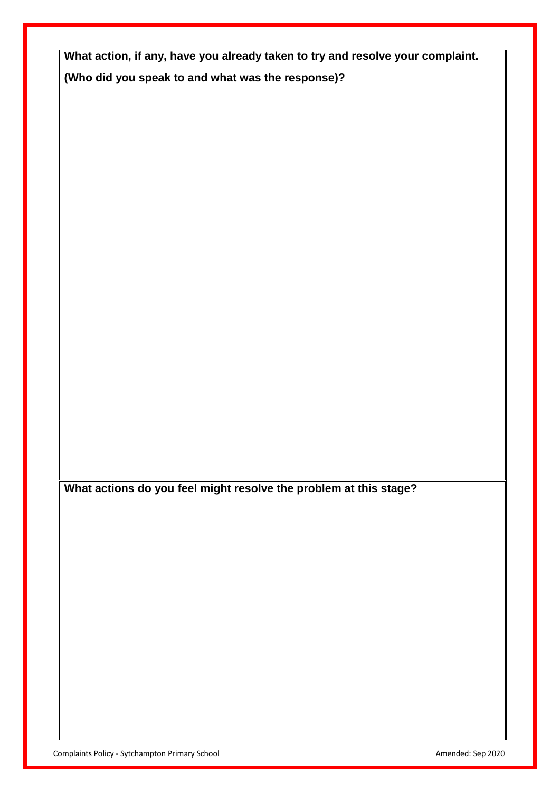**What action, if any, have you already taken to try and resolve your complaint. (Who did you speak to and what was the response)?**

**What actions do you feel might resolve the problem at this stage?**